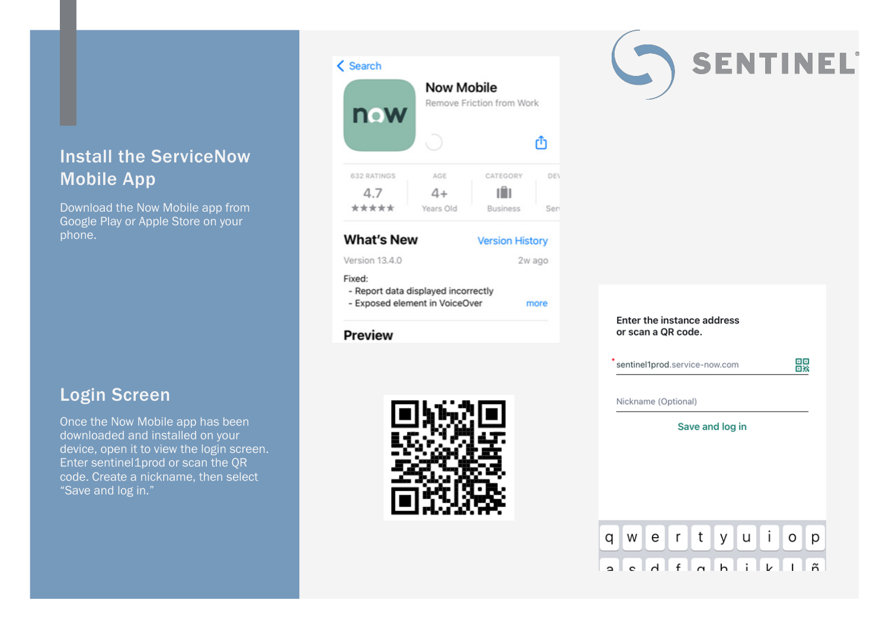## Install the ServiceNow Mobile App

Download the Now Mobile app from Google Play or Apple Store on your phone.

#### Login Screen

Once the Now Mobile app has been downloaded and installed on your device, open it to view the login screen. Enter sentinel1prod or scan the QR code. Create a nickname, then select "Save and log in."

#### **Now Mobile** Remove Friction from Work now Ō m CATEGORY 632 RATINGS AGE DEV 4.7  $4+$ ıА \*\*\*\*\* Years Old **Business** Sen **What's New Version History** Version 13 4 0 2w ago Fixed: - Report data displayed incorrectly - Exposed element in VoiceOver more

#### **Preview**

 $\zeta$  Search





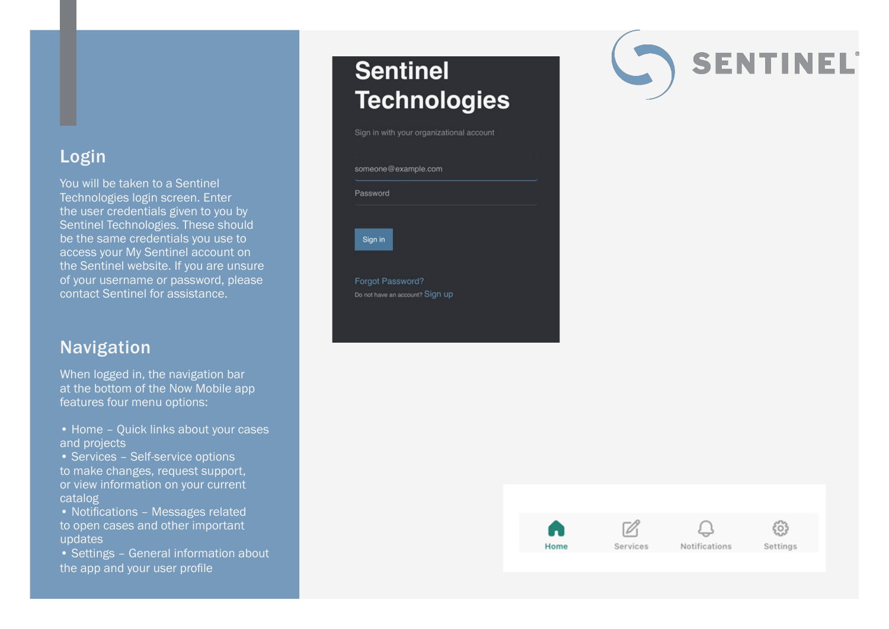#### Login

You will be taken to a Sentinel Technologies login screen. Enter the user credentials given to you by Sentinel Technologies. These should be the same credentials you use to access your My Sentinel account on the Sentinel website. If you are unsure of your username or password, please contact Sentinel for assistance.

#### Navigation

When logged in, the navigation bar at the bottom of the Now Mobile app features four menu options:

• Home – Quick links about your cases and projects

• Services – Self-service options to make changes, request support, or view information on your current catalog

• Notifications – Messages related to open cases and other important updates

• Settings – General information about the app and your user profile

# **Sentinel Technologies**

Sign in with your organizational account





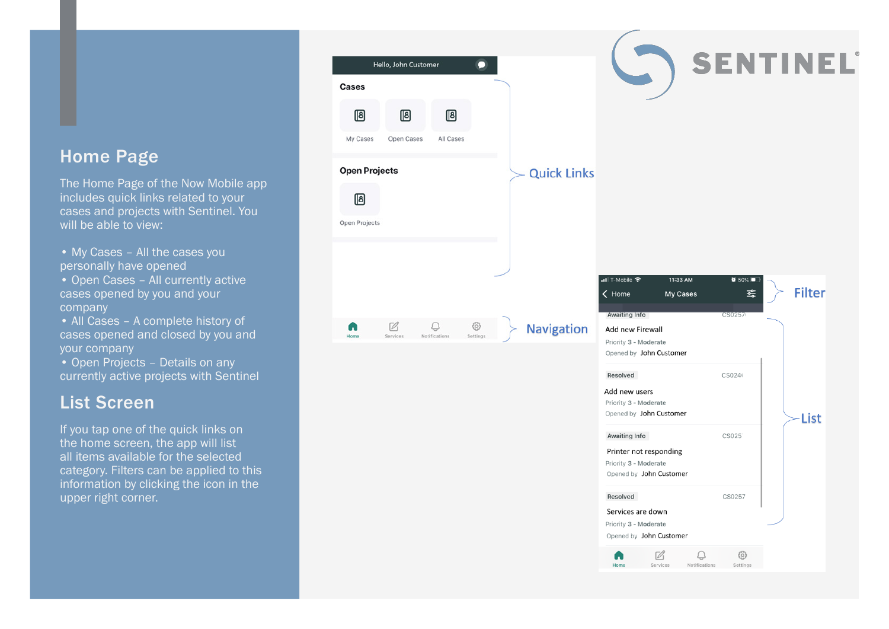#### Home Page

The Home Page of the Now Mobile app includes quick links related to your cases and projects with Sentinel. You will be able to view:

• My Cases – All the cases you personally have opened

• Open Cases – All currently active cases opened by you and your company

• All Cases - A complete history of cases opened and closed by you and your company

• Open Projects - Details on any currently active projects with Sentinel

#### List Screen

If you tap one of the quick links on the home screen, the app will list all items available for the selected category. Filters can be applied to this information by clicking the icon in the upper right corner.

| Hello, John Customer                               |                    |                                                                                                              |                                               |
|----------------------------------------------------|--------------------|--------------------------------------------------------------------------------------------------------------|-----------------------------------------------|
|                                                    |                    |                                                                                                              | SENTINEL®                                     |
| Cases                                              |                    |                                                                                                              |                                               |
| 個<br>個<br>個<br>My Cases<br>Open Cases<br>All Cases |                    |                                                                                                              |                                               |
| <b>Open Projects</b><br>侗<br>Open Projects         | <b>Quick Links</b> |                                                                                                              |                                               |
| Ø<br>හි<br>U<br>m                                  | <b>Navigation</b>  | nll T-Mobile <sup>수</sup><br>11:33 AM<br>< Home<br>My Cases<br><b>Awaiting Info</b><br>Add new Firewall      | $\bullet$ 50%<br><b>Filter</b><br>흇<br>CS0257 |
| Notifications<br>Home<br>Services<br>Settings      |                    | Priority 3 - Moderate<br>Opened by John Customer                                                             |                                               |
|                                                    |                    | Resolved<br>Add new users<br>Priority 3 - Moderate<br>Opened by John Customer                                | CS024<br>List                                 |
|                                                    |                    | Awaiting Info<br>Printer not responding<br>Priority 3 - Moderate<br>Opened by John Customer                  | CS025                                         |
|                                                    |                    | Resolved<br>Services are down<br>Priority 3 - Moderate<br>Opened by John Customer<br>$\mathbb{Z}$<br>Ö<br>г. | CS0257<br>£03                                 |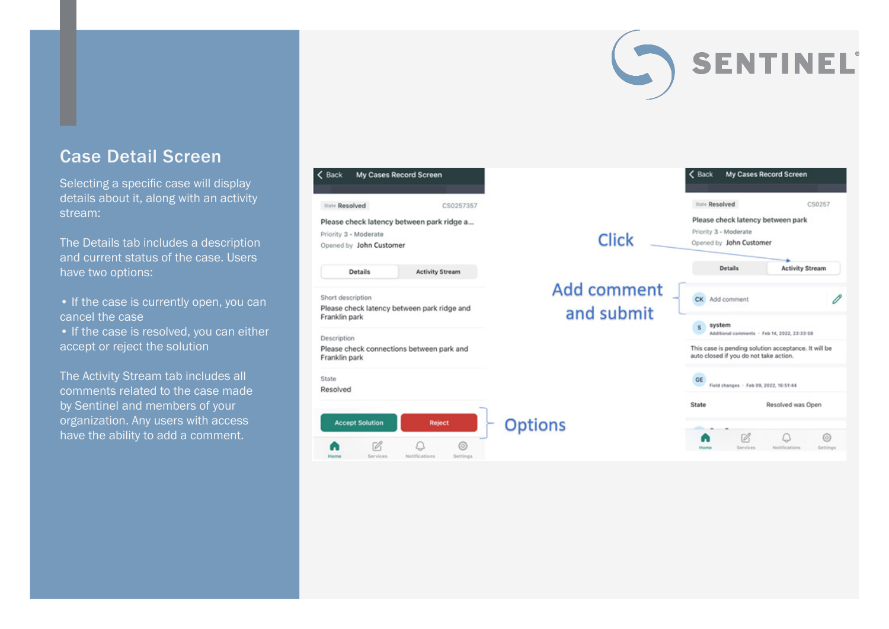#### Case Detail Screen

Selecting a specific case will display details about it, along with an activity stream:

The Details tab includes a description and current status of the case. Users have two options:

- If the case is currently open, you can cancel the case
- If the case is resolved, you can either accept or reject the solution

The Activity Stream tab includes all comments related to the case made by Sentinel and members of your organization. Any users with access have the ability to add a comment.



**SENTINEL**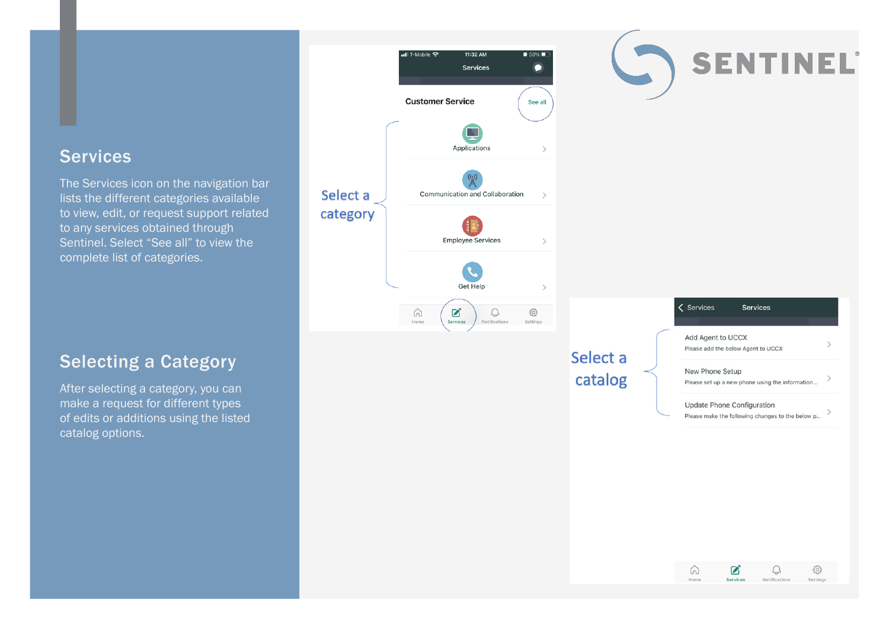#### **Services**

The Services icon on the navigation bar lists the different categories available to view, edit, or request support related to any services obtained through Sentinel. Select "See all" to view the complete list of categories.



## Select a catalog

| <b>Services</b><br><b>Services</b>                                             |  |
|--------------------------------------------------------------------------------|--|
| Add Agent to UCCX<br>Please add the below Agent to UCCX                        |  |
| New Phone Setup<br>Please set up a new phone using the information             |  |
| Update Phone Configuration<br>Please make the following changes to the below p |  |

SENTINEL



#### Selecting a Category

After selecting a category, you can make a request for different types of edits or additions using the listed catalog options.